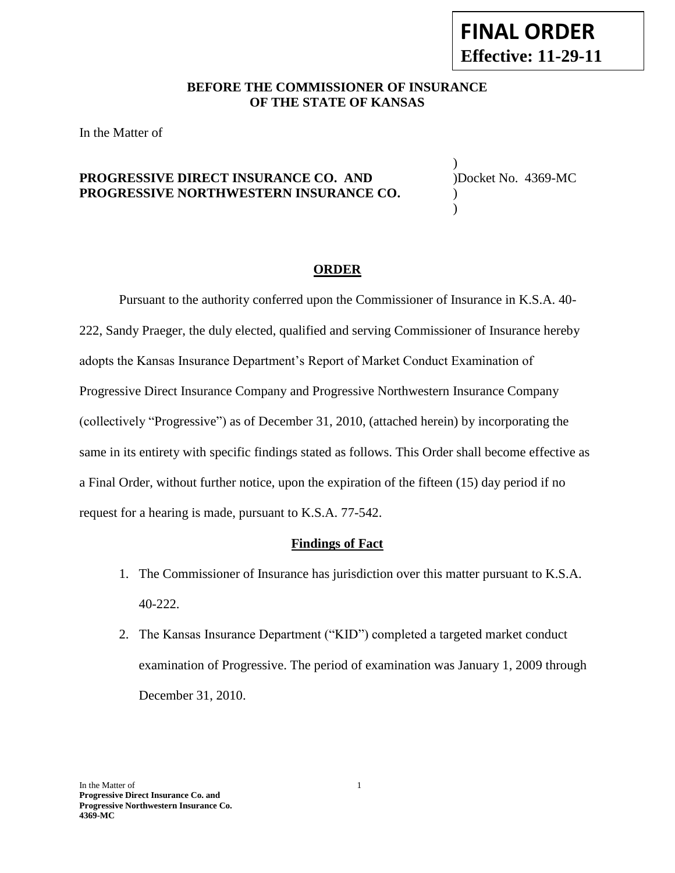## **BEFORE THE COMMISSIONER OF INSURANCE OF THE STATE OF KANSAS**

In the Matter of

## **PROGRESSIVE DIRECT INSURANCE CO. AND** )Docket No. 4369-MC **PROGRESSIVE NORTHWESTERN INSURANCE CO.** )

) )

#### **ORDER**

Pursuant to the authority conferred upon the Commissioner of Insurance in K.S.A. 40- 222, Sandy Praeger, the duly elected, qualified and serving Commissioner of Insurance hereby adopts the Kansas Insurance Department's Report of Market Conduct Examination of Progressive Direct Insurance Company and Progressive Northwestern Insurance Company (collectively "Progressive") as of December 31, 2010, (attached herein) by incorporating the same in its entirety with specific findings stated as follows. This Order shall become effective as a Final Order, without further notice, upon the expiration of the fifteen (15) day period if no request for a hearing is made, pursuant to K.S.A. 77-542.

#### **Findings of Fact**

- 1. The Commissioner of Insurance has jurisdiction over this matter pursuant to K.S.A. 40-222.
- 2. The Kansas Insurance Department ("KID") completed a targeted market conduct examination of Progressive. The period of examination was January 1, 2009 through December 31, 2010.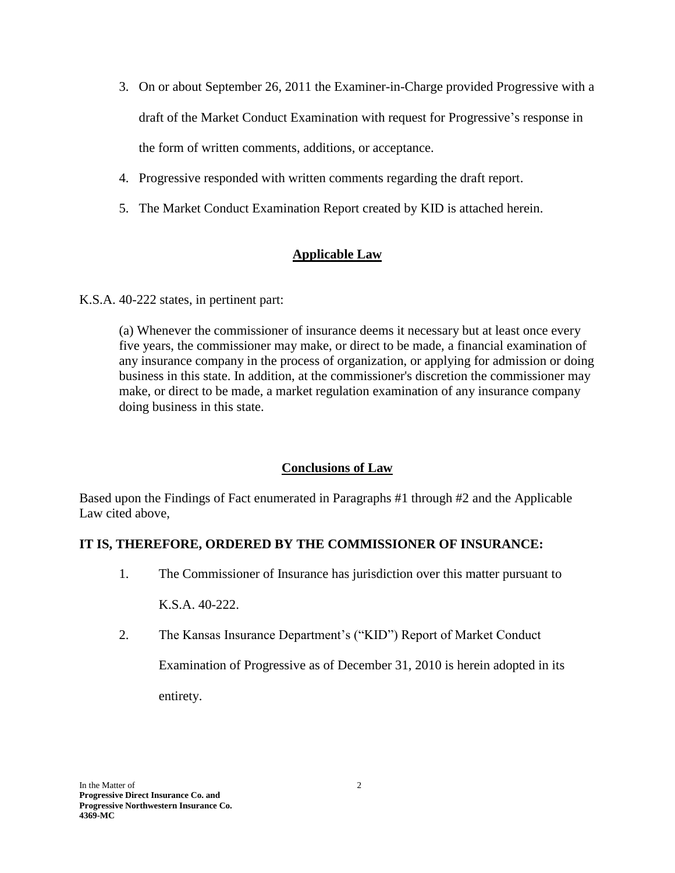- 3. On or about September 26, 2011 the Examiner-in-Charge provided Progressive with a draft of the Market Conduct Examination with request for Progressive's response in the form of written comments, additions, or acceptance.
- 4. Progressive responded with written comments regarding the draft report.
- 5. The Market Conduct Examination Report created by KID is attached herein.

# **Applicable Law**

K.S.A. 40-222 states, in pertinent part:

(a) Whenever the commissioner of insurance deems it necessary but at least once every five years, the commissioner may make, or direct to be made, a financial examination of any insurance company in the process of organization, or applying for admission or doing business in this state. In addition, at the commissioner's discretion the commissioner may make, or direct to be made, a market regulation examination of any insurance company doing business in this state.

# **Conclusions of Law**

Based upon the Findings of Fact enumerated in Paragraphs #1 through #2 and the Applicable Law cited above,

# **IT IS, THEREFORE, ORDERED BY THE COMMISSIONER OF INSURANCE:**

1. The Commissioner of Insurance has jurisdiction over this matter pursuant to

K.S.A. 40-222.

2. The Kansas Insurance Department's ("KID") Report of Market Conduct

Examination of Progressive as of December 31, 2010 is herein adopted in its entirety.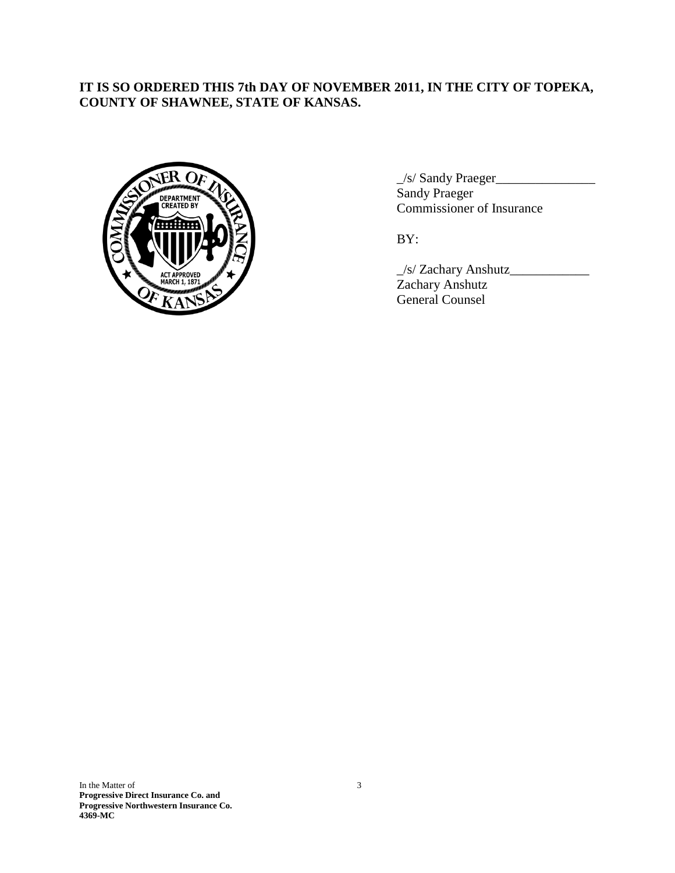# **IT IS SO ORDERED THIS 7th DAY OF NOVEMBER 2011, IN THE CITY OF TOPEKA, COUNTY OF SHAWNEE, STATE OF KANSAS.**



\_/s/ Sandy Praeger\_\_\_\_\_\_\_\_\_\_\_\_\_\_\_ Sandy Praeger Commissioner of Insurance

BY:

\_/s/ Zachary Anshutz\_\_\_\_\_\_\_\_\_\_\_\_ Zachary Anshutz General Counsel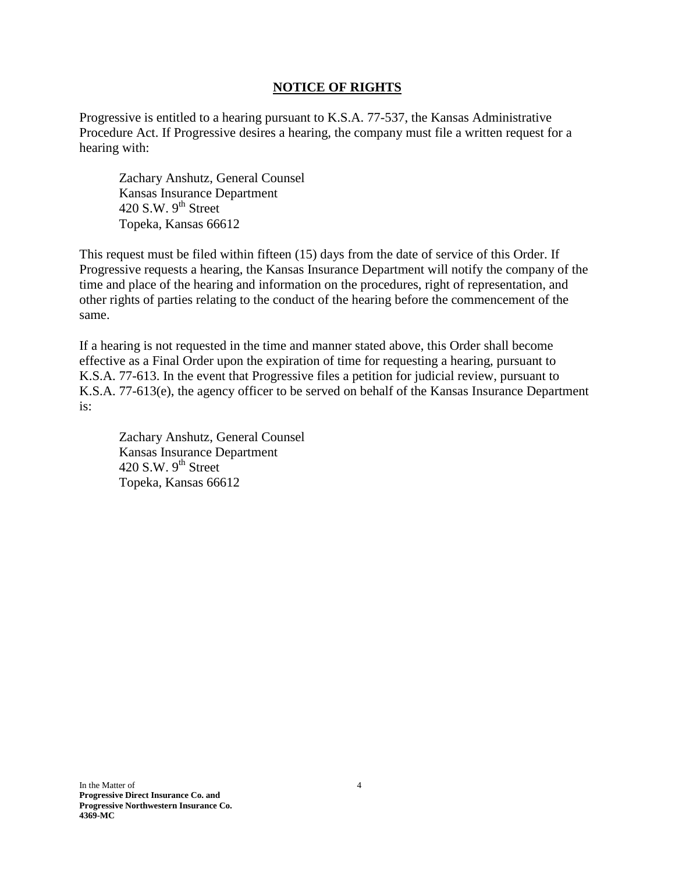## **NOTICE OF RIGHTS**

Progressive is entitled to a hearing pursuant to K.S.A. 77-537, the Kansas Administrative Procedure Act. If Progressive desires a hearing, the company must file a written request for a hearing with:

Zachary Anshutz, General Counsel Kansas Insurance Department 420 S.W.  $9<sup>th</sup>$  Street Topeka, Kansas 66612

This request must be filed within fifteen (15) days from the date of service of this Order. If Progressive requests a hearing, the Kansas Insurance Department will notify the company of the time and place of the hearing and information on the procedures, right of representation, and other rights of parties relating to the conduct of the hearing before the commencement of the same.

If a hearing is not requested in the time and manner stated above, this Order shall become effective as a Final Order upon the expiration of time for requesting a hearing, pursuant to K.S.A. 77-613. In the event that Progressive files a petition for judicial review, pursuant to K.S.A. 77-613(e), the agency officer to be served on behalf of the Kansas Insurance Department is:

Zachary Anshutz, General Counsel Kansas Insurance Department 420 S.W.  $9<sup>th</sup>$  Street Topeka, Kansas 66612